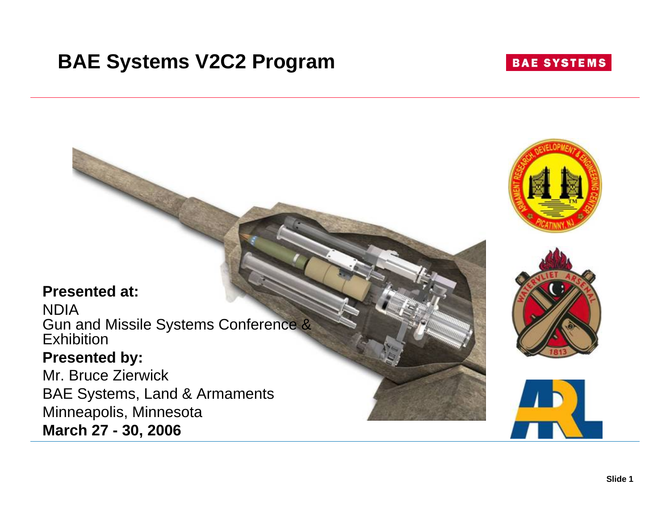# **BAE Systems V2C2 Program**

### **BAE SYSTEMS**





NDIA Gun and Missile Systems Conference & Exhibition

### **Presented by:**

Mr. Bruce ZierwickBAE Systems, Land & Armaments Minneapolis, Minnesota **March 27 - 30, 2006**

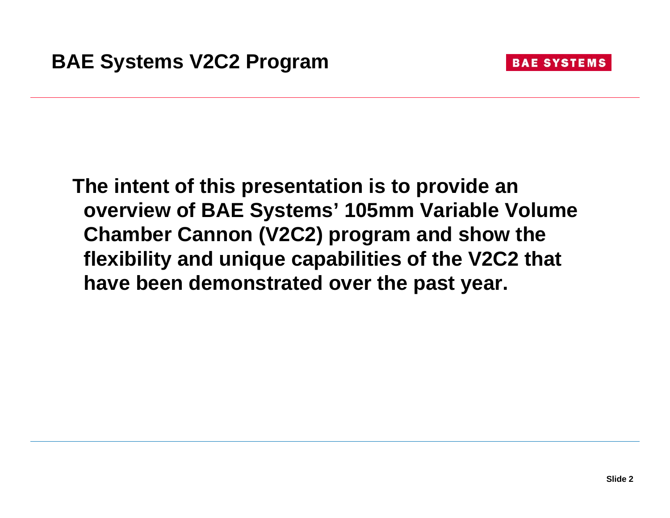

**The intent of this presentation is to provide an overview of BAE Systems' 105mm Variable Volume Chamber Cannon (V2C2) program and show the flexibility and unique capabilities of the V2C2 that have been demonstrated over the past year.**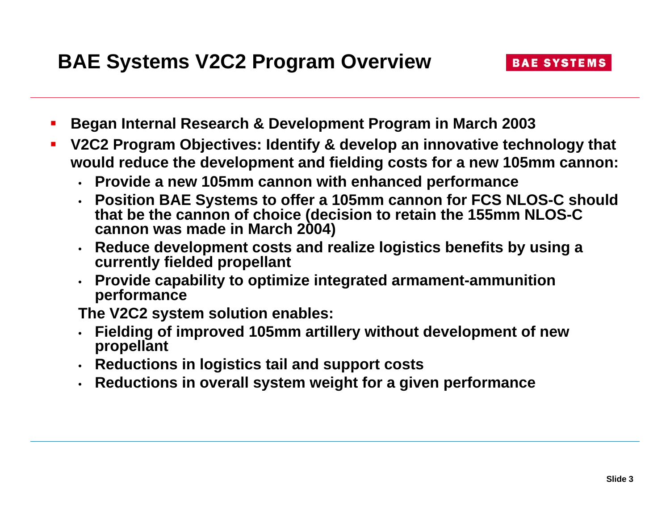- $\mathcal{L}_{\mathcal{A}}$ **Began Internal Research & Development Program in March 2003**
- $\mathcal{L}_{\mathcal{A}}$  **V2C2 Program Objectives: Identify & develop an innovative technology that would reduce the development and fielding costs for a new 105mm cannon:** 
	- **Provide a new 105mm cannon with enhanced performance**
	- **Position BAE Systems to offer a 105mm cannon for FCS NLOS-C should that be the cannon of choice (decision to retain the 155mm NLOS-C cannon was made in March 2004)**
	- **Reduce development costs and realize logistics benefits by using <sup>a</sup> currently fielded propellant**
	- **Provide capability to optimize integrated armament-ammunition performance**

**The V2C2 system solution enables:**

- • **Fielding of improved 105mm artillery without development of new propellant**
- **Reductions in logistics tail and support costs**
- **Reductions in overall system weight for a given performance**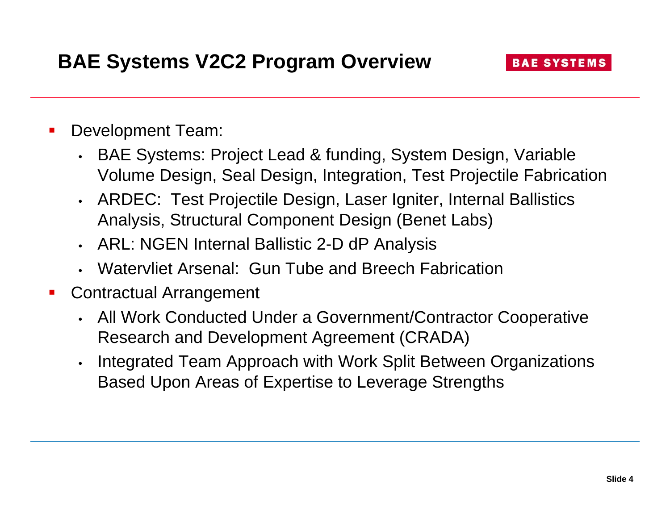- $\overline{\phantom{a}}$  Development Team:
	- BAE Systems: Project Lead & funding, System Design, Variable Volume Design, Seal Design, Integration, Test Projectile Fabrication
	- ARDEC: Test Projectile Design, Laser Igniter, Internal Ballistics Analysis, Structural Component Design (Benet Labs)
	- ARL: NGEN Internal Ballistic 2-D dP Analysis
	- Watervliet Arsenal: Gun Tube and Breech Fabrication
- $\mathbf{r}$  Contractual Arrangement
	- All Work Conducted Under a Government/Contractor Cooperative Research and Development Agreement (CRADA)
	- • Integrated Team Approach with Work Split Between Organizations Based Upon Areas of Expertise to Leverage Strengths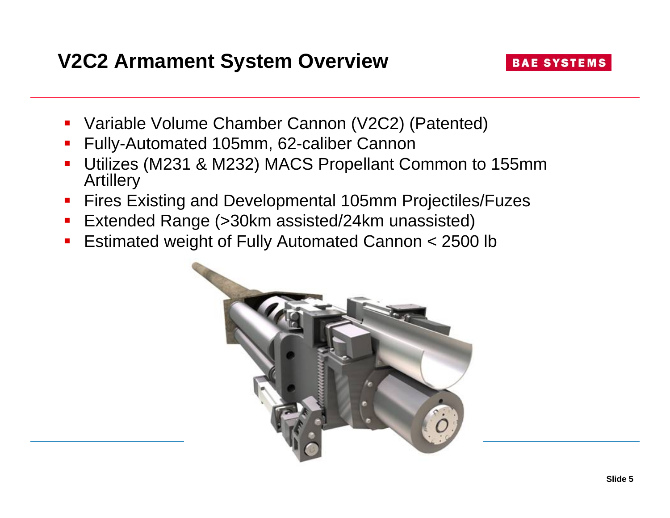# **V2C2 Armament System Overview**

### **BAE SYSTEMS**

- Variable Volume Chamber Cannon (V2C2) (Patented)
- $\mathcal{L}_{\mathcal{A}}$ Fully-Automated 105mm, 62-caliber Cannon
- **Service Service**  Utilizes (M231 & M232) MACS Propellant Common to 155mm Artillery
- **Fires Existing and Developmental 105mm Projectiles/Fuzes**
- Extended Range (>30km assisted/24km unassisted)
- Estimated weight of Fully Automated Cannon < 2500 lb

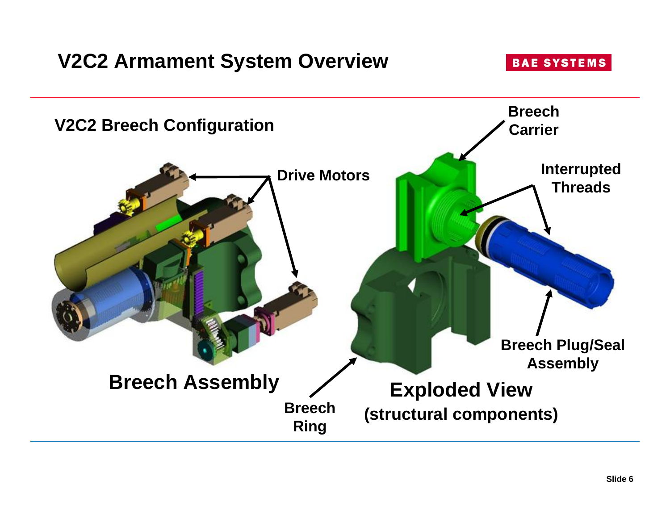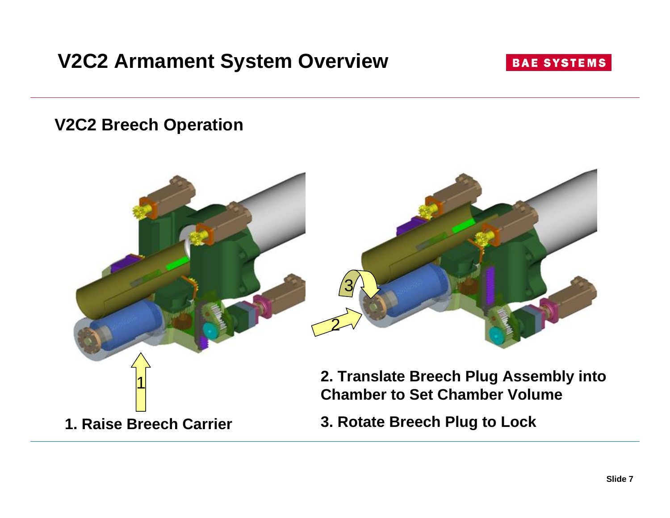# **V2C2 Armament System Overview**

#### **BAE SYSTEMS**

**V2C2 Breech Operation**

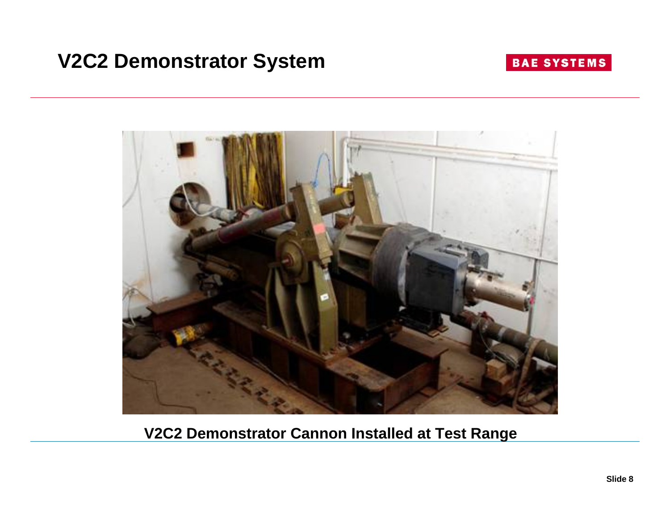## **V2C2 Demonstrator System**

### **BAE SYSTEMS**



**V2C2 Demonstrator Cannon Installed at Test Range**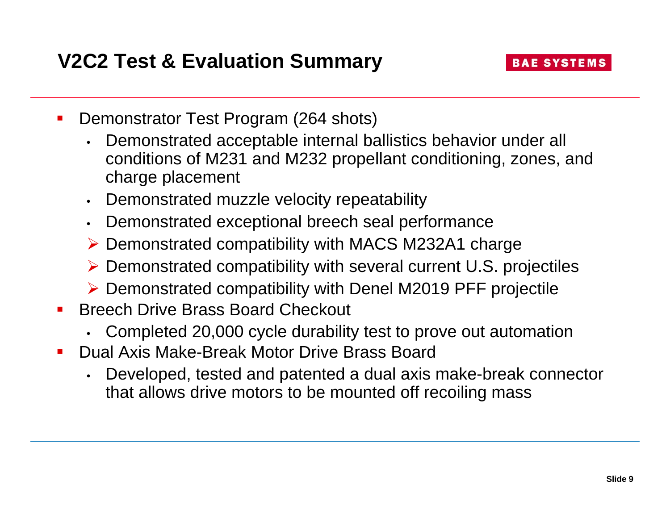- $\blacksquare$  Demonstrator Test Program (264 shots)
	- • Demonstrated acceptable internal ballistics behavior under all conditions of M231 and M232 propellant conditioning, zones, and charge placement
	- Demonstrated muzzle velocity repeatability
	- $\bullet$ Demonstrated exceptional breech seal performance
	- ¾ Demonstrated compatibility with MACS M232A1 charge
	- ¾ Demonstrated compatibility with several current U.S. projectiles
	- ¾ Demonstrated compatibility with Denel M2019 PFF projectile
- $\mathcal{L}_{\text{max}}$  Breech Drive Brass Board Checkout
	- •Completed 20,000 cycle durability test to prove out automation
- Dual Axis Make-Break Motor Drive Brass Board
	- • Developed, tested and patented a dual axis make-break connector that allows drive motors to be mounted off recoiling mass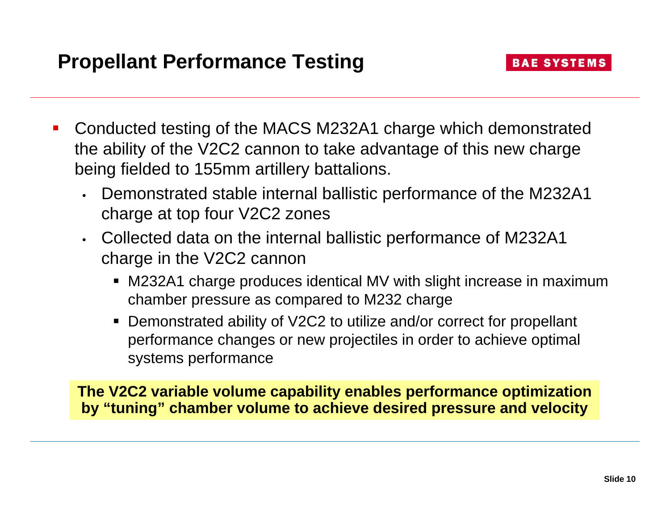- b. Conducted testing of the MACS M232A1 charge which demonstrated the ability of the V2C2 cannon to take advantage of this new charge being fielded to 155mm artillery battalions.
	- Demonstrated stable internal ballistic performance of the M232A1 charge at top four V2C2 zones
	- Collected data on the internal ballistic performance of M232A1 charge in the V2C2 cannon
		- M232A1 charge produces identical MV with slight increase in maximum chamber pressure as compared to M232 charge
		- Demonstrated ability of V2C2 to utilize and/or correct for propellant performance changes or new projectiles in order to achieve optimal systems performance

**The V2C2 variable volume capability enables performance optimization by "tuning" chamber volume to achieve desired pressure and velocity**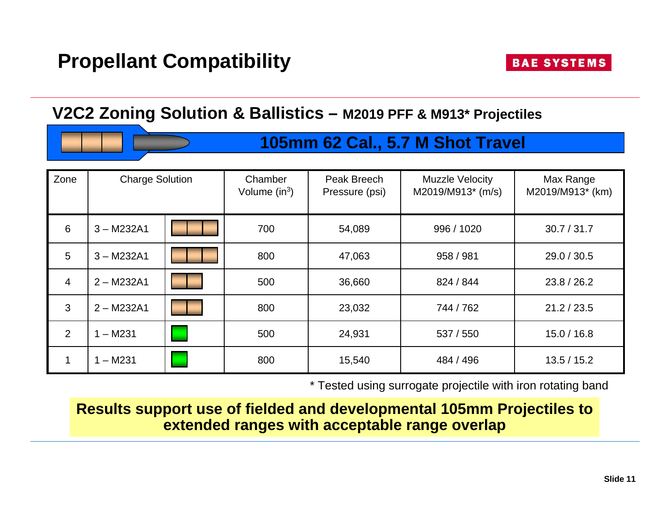## **Propellant Compatibility**

### **V2C2 Zoning Solution & Ballistics – M2019 PFF & M913\* Projectiles**



| Zone | <b>Charge Solution</b> |  | Chamber<br>Volume $(in^3)$ | Peak Breech<br>Pressure (psi) | <b>Muzzle Velocity</b><br>M2019/M913* (m/s) | Max Range<br>M2019/M913* (km) |
|------|------------------------|--|----------------------------|-------------------------------|---------------------------------------------|-------------------------------|
| 6    | $3 - M232A1$           |  | 700                        | 54,089                        | 996 / 1020                                  | 30.7 / 31.7                   |
| 5    | $3 - M232A1$           |  | 800                        | 47,063                        | 958 / 981                                   | 29.0 / 30.5                   |
| 4    | $2 - M232A1$           |  | 500                        | 36,660                        | 824 / 844                                   | 23.8 / 26.2                   |
| 3    | $2 - M232A1$           |  | 800                        | 23,032                        | 744 / 762                                   | 21.2 / 23.5                   |
| 2    | $- M231$               |  | 500                        | 24,931                        | 537 / 550                                   | 15.0 / 16.8                   |
| 1    | $1 - M231$             |  | 800                        | 15,540                        | 484 / 496                                   | 13.5 / 15.2                   |

\* Tested using surrogate projectile with iron rotating band

**Results support use of fielded and developmental 105mm Projectiles to extended ranges with acceptable range overlap**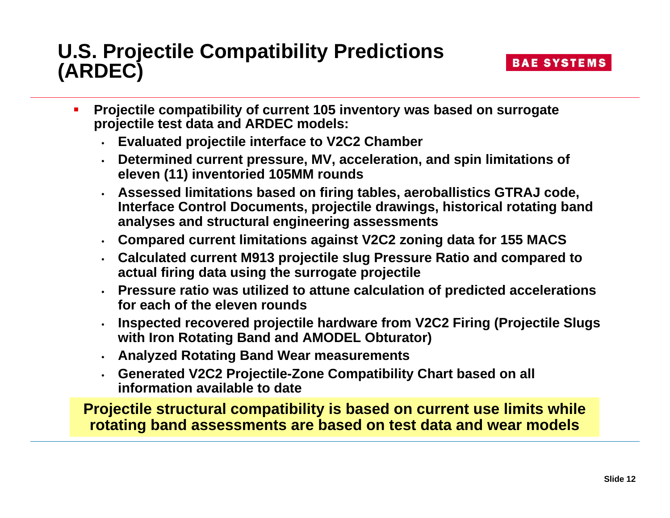### **U.S. Projectile Compatibility Predictions (ARDEC)**

- $\blacksquare$  **Projectile compatibility of current 105 inventory was based on surrogate projectile test data and ARDEC models:**
	- **Evaluated projectile interface to V2C2 Chamber**
	- **Determined current pressure, MV, acceleration, and spin limitations of eleven (11) inventoried 105MM rounds**
	- **Assessed limitations based on firing tables, aeroballistics GTRAJ code, Interface Control Documents, projectile drawings, historical rotating band analyses and structural engineering assessments**
	- **Compared current limitations against V2C2 zoning data for 155 MACS**
	- **Calculated current M913 projectile slug Pressure Ratio and compared to actual firing data using the surrogate projectile**
	- **Pressure ratio was utilized to attune calculation of predicted accelerations for each of the eleven rounds**
	- **Inspected recovered projectile hardware from V2C2 Firing (Projectile Slugs with Iron Rotating Band and AMODEL Obturator)**
	- **Analyzed Rotating Band Wear measurements**
	- **Generated V2C2 Projectile-Zone Compatibility Chart based on all information available to date**

**Projectile structural compatibility is based on current use limits while rotating band assessments are based on test data and wear models**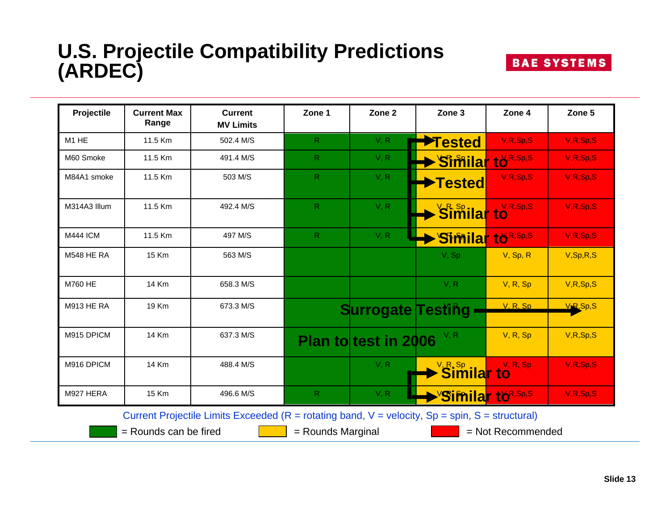## **U.S. Projectile Compatibility Predictions (ARDEC)**

| <b>Projectile</b>             | <b>Current Max</b><br>Range | <b>Current</b><br><b>MV Limits</b> | Zone 1       | Zone <sub>2</sub>        | Zone <sub>3</sub>                             | Zone 4      | Zone 5                 |
|-------------------------------|-----------------------------|------------------------------------|--------------|--------------------------|-----------------------------------------------|-------------|------------------------|
| M <sub>1</sub> H <sub>E</sub> | 11.5 Km                     | 502.4 M/S                          | R            | V, R                     | ◆Tested                                       | V, R, Sp, S | V,R,Sp,S               |
| M60 Smoke                     | 11.5 Km                     | 491.4 M/S                          | $\mathsf{R}$ | V, R                     | Similar to R, Sp, S                           |             | V,R,Sp,S               |
| M84A1 smoke                   | 11.5 Km                     | 503 M/S                            | $\mathsf{R}$ | V, R                     | →Tested                                       | V, R, Sp, S | V,R,Sp,S               |
| M314A3 Illum                  | 11.5 Km                     | 492.4 M/S                          | $\mathsf{R}$ | V, R                     | <b>Similar to</b>                             | V, R, Sp, S | V,R,Sp,S               |
| <b>M444 ICM</b>               | 11.5 Km                     | 497 M/S                            | $\mathsf{R}$ | V, R                     | <b>Similar to R, Sp, S</b>                    |             | V,R,Sp,S               |
| <b>M548 HE RA</b>             | 15 Km                       | 563 M/S                            |              |                          | V, Sp                                         | V, Sp, R    | V, Sp, R, S            |
| M760 HE                       | 14 Km                       | 658.3 M/S                          |              |                          | V, R                                          | V, R, Sp    | V, R, Sp, S            |
| <b>M913 HE RA</b>             | 19 Km                       | 673.3 M/S                          |              | <b>Surrogate Testing</b> |                                               | V.R.Sp      | V <sub>R</sub> , Sp, S |
| M915 DPICM                    | 14 Km                       | 637.3 M/S                          |              | Plan to test in 2006     | V, R                                          | V, R, Sp    | V, R, Sp, S            |
| M916 DPICM                    | <b>14 Km</b>                | 488.4 M/S                          |              | V, R                     | $\frac{1}{2}$ Similar to                      | V, R, Sp    | V,R,Sp,S               |
| M927 HERA                     | 15 Km                       | 496.6 M/S                          | $\mathsf{R}$ | V, R                     | $\blacktriangleright$ 'Similar tö $^{R,Sp,S}$ |             | V,R,Sp,S               |

 $=$  Rounds can be fired  $\begin{array}{|c|c|c|c|c|c|} \hline \quad & = & \quad \text{Rounds } \text{Marginal} \end{array}$  = Not Recommended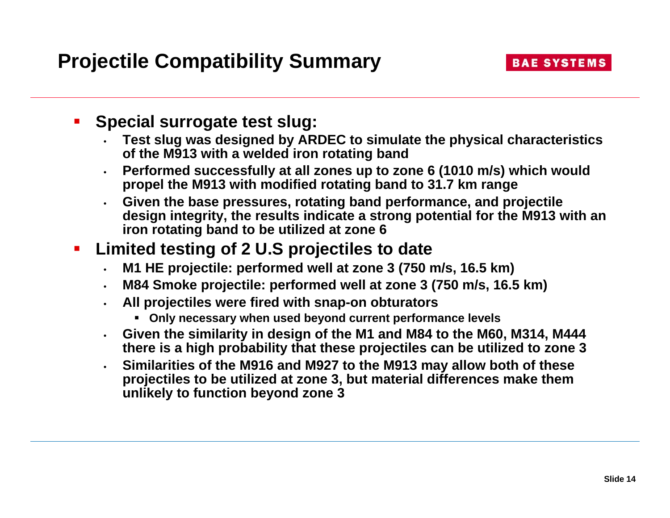#### $\blacksquare$ **Special surrogate test slug:**

- • **Test slug was designed by ARDEC to simulate the physical characteristics of the M913 with a welded iron rotating band**
- **Performed successfully at all zones up to zone 6 (1010 m/s) which would propel the M913 with modified rotating band to 31.7 km range**
- **Given the base pressures, rotating band performance, and projectile design integrity, the results indicate a strong potential for the M913 with an iron rotating band to be utilized at zone 6**

#### $\blacksquare$ **Limited testing of 2 U.S projectiles to date**

- •**M1 HE projectile: performed well at zone 3 (750 m/s, 16.5 km)**
- •**M84 Smoke projectile: performed well at zone 3 (750 m/s, 16.5 km)**
- • **All projectiles were fired with snap-on obturators**
	- **Only necessary when used beyond current performance levels**
- **Given the similarity in design of the M1 and M84 to the M60, M314, M444 there is a high probability that these projectiles can be utilized to zone 3**
- • **Similarities of the M916 and M927 to the M913 may allow both of these projectiles to be utilized at zone 3, but material differences make them unlikely to function beyond zone 3**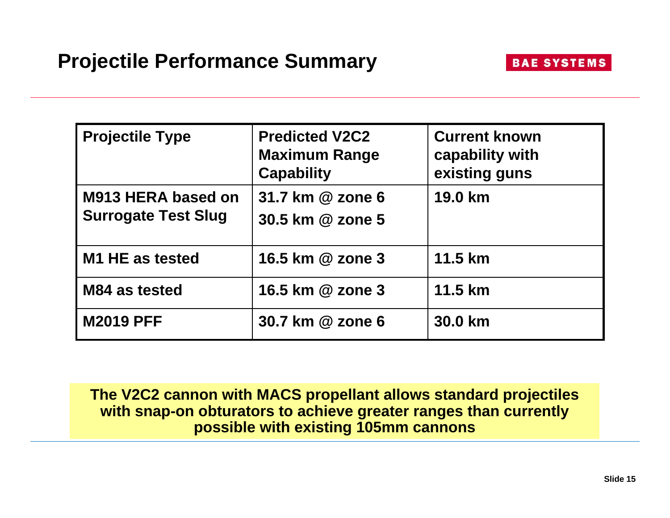| <b>Projectile Type</b>                           | <b>Predicted V2C2</b><br><b>Maximum Range</b><br><b>Capability</b> | <b>Current known</b><br>capability with<br>existing guns |
|--------------------------------------------------|--------------------------------------------------------------------|----------------------------------------------------------|
| M913 HERA based on<br><b>Surrogate Test Slug</b> | 31.7 km @ zone 6<br>30.5 km @ zone 5                               | 19.0 km                                                  |
| M1 HE as tested                                  | 16.5 km @ zone 3                                                   | 11.5 km                                                  |
| M84 as tested                                    | 16.5 km @ zone 3                                                   | 11.5 km                                                  |
| <b>M2019 PFF</b>                                 | 30.7 km @ zone 6                                                   | 30.0 km                                                  |

**The V2C2 cannon with MACS propellant allows standard projectiles with snap-on obturators to achieve greater ranges than currently possible with existing 105mm cannons**